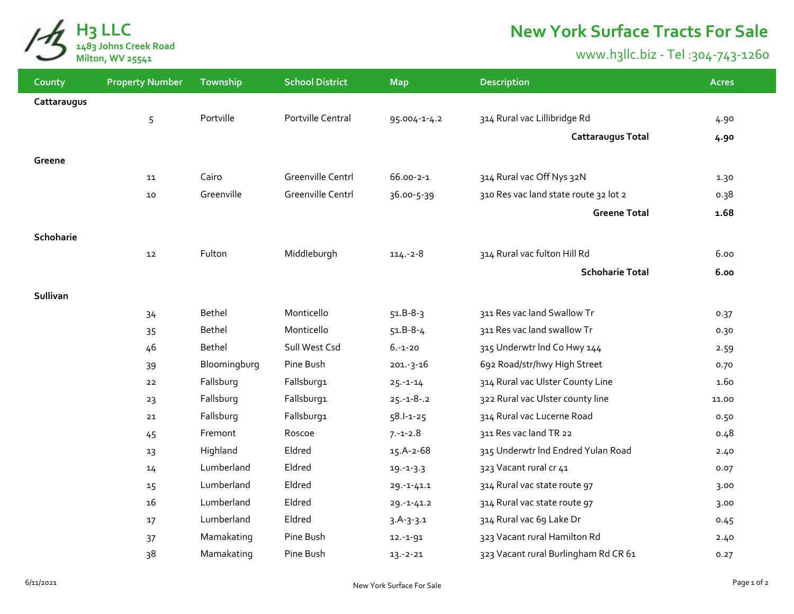

## **New York Surface Tracts For Sale**

## www.h3llc.biz - Tel :304-743-1260

| County      | <b>Property Number</b> | Township     | <b>School District</b>   | <b>Map</b>       | <b>Description</b>                    | <b>Acres</b> |
|-------------|------------------------|--------------|--------------------------|------------------|---------------------------------------|--------------|
| Cattaraugus |                        |              |                          |                  |                                       |              |
|             | 5                      | Portville    | Portville Central        | 95.004-1-4.2     | 314 Rural vac Lillibridge Rd          | 4.90         |
|             |                        |              |                          |                  | <b>Cattaraugus Total</b>              | 4.90         |
| Greene      |                        |              |                          |                  |                                       |              |
|             | 11                     | Cairo        | <b>Greenville Centrl</b> | 66.00-2-1        | 314 Rural vac Off Nys 32N             | 1.30         |
|             | 10                     | Greenville   | <b>Greenville Centrl</b> | 36.00-5-39       | 310 Res vac land state route 32 lot 2 | 0.38         |
|             |                        |              |                          |                  |                                       |              |
|             |                        |              |                          |                  | <b>Greene Total</b>                   | 1.68         |
| Schoharie   |                        |              |                          |                  |                                       |              |
|             | 12                     | Fulton       | Middleburgh              | $114.-2-8$       | 314 Rural vac fulton Hill Rd          | 6.00         |
|             |                        |              |                          |                  | <b>Schoharie Total</b>                | 6.00         |
| Sullivan    |                        |              |                          |                  |                                       |              |
|             | 34                     | Bethel       | Monticello               | $51.B-8-3$       | 311 Res vac land Swallow Tr           | 0.37         |
|             | 35                     | Bethel       | Monticello               | $51.B-8-4$       | 311 Res vac land swallow Tr           | 0.30         |
|             | 46                     | Bethel       | Sull West Csd            | $6.-1-20$        | 315 Underwtr Ind Co Hwy 144           | 2.59         |
|             | 39                     | Bloomingburg | Pine Bush                | $201.-3-16$      | 692 Road/str/hwy High Street          | 0.70         |
|             | 22                     | Fallsburg    | Fallsburg1               | $25 - 1 - 14$    | 314 Rural vac Ulster County Line      | 1.60         |
|             | 23                     | Fallsburg    | Fallsburg1               | $25.-1-8-.2$     | 322 Rural vac Ulster county line      | 11.00        |
|             | 21                     | Fallsburg    | Fallsburg1               | $58.1 - 1 - 25$  | 314 Rural vac Lucerne Road            | 0.50         |
|             | 45                     | Fremont      | Roscoe                   | $7 - 1 - 2.8$    | 311 Res vac land TR 22                | 0.48         |
|             | 13                     | Highland     | Eldred                   | 15.A-2-68        | 315 Underwtr Ind Endred Yulan Road    | 2.40         |
|             | 14                     | Lumberland   | Eldred                   | $19. - 1 - 3.3$  | 323 Vacant rural cr 41                | 0.07         |
|             | 15                     | Lumberland   | Eldred                   | $29. - 1 - 41.1$ | 314 Rural vac state route 97          | 3.00         |
|             | 16                     | Lumberland   | Eldred                   | $29. - 1 - 41.2$ | 314 Rural vac state route 97          |              |
|             | 17                     | Lumberland   | Eldred                   | $3.A-3-3.1$      | 314 Rural vac 69 Lake Dr              | 3.00         |
|             |                        | Mamakating   | Pine Bush                | $12.-1-91$       | 323 Vacant rural Hamilton Rd          | 0.45         |
|             | 37<br>38               | Mamakating   | Pine Bush                | $13.-2-21$       | 323 Vacant rural Burlingham Rd CR 61  | 2.40<br>0.27 |